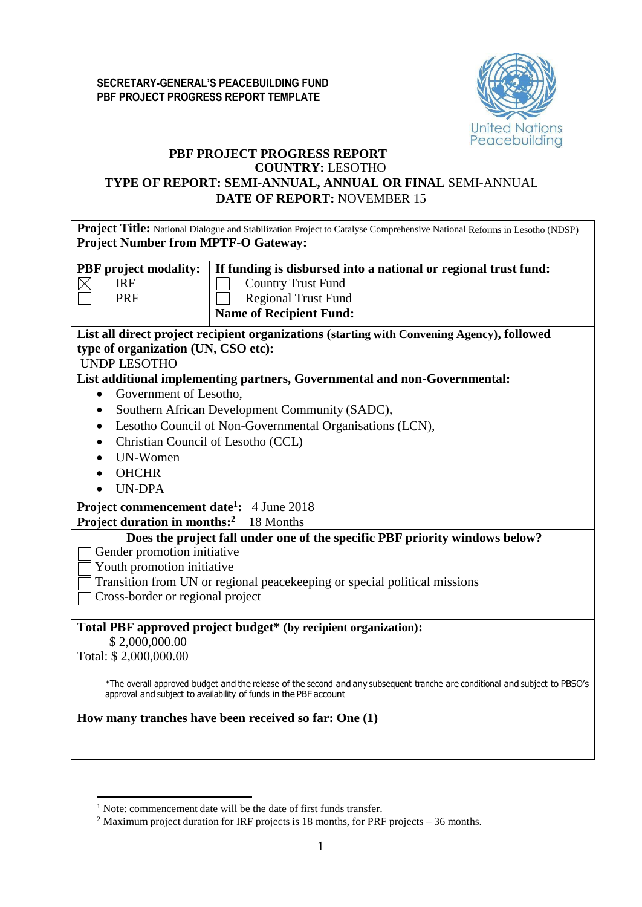

### **PBF PROJECT PROGRESS REPORT COUNTRY:** LESOTHO

## **TYPE OF REPORT: SEMI-ANNUAL, ANNUAL OR FINAL** SEMI-ANNUAL **DATE OF REPORT:** NOVEMBER 15

| <b>Project Title:</b> National Dialogue and Stabilization Project to Catalyse Comprehensive National Reforms in Lesotho (NDSP)                                                                  |  |  |  |  |  |  |  |
|-------------------------------------------------------------------------------------------------------------------------------------------------------------------------------------------------|--|--|--|--|--|--|--|
| <b>Project Number from MPTF-O Gateway:</b>                                                                                                                                                      |  |  |  |  |  |  |  |
|                                                                                                                                                                                                 |  |  |  |  |  |  |  |
| If funding is disbursed into a national or regional trust fund:<br><b>PBF</b> project modality:                                                                                                 |  |  |  |  |  |  |  |
| <b>IRF</b><br><b>Country Trust Fund</b><br>$\boxtimes$                                                                                                                                          |  |  |  |  |  |  |  |
| <b>Regional Trust Fund</b><br>PRF                                                                                                                                                               |  |  |  |  |  |  |  |
| <b>Name of Recipient Fund:</b>                                                                                                                                                                  |  |  |  |  |  |  |  |
| List all direct project recipient organizations (starting with Convening Agency), followed                                                                                                      |  |  |  |  |  |  |  |
| type of organization (UN, CSO etc):                                                                                                                                                             |  |  |  |  |  |  |  |
| <b>UNDP LESOTHO</b>                                                                                                                                                                             |  |  |  |  |  |  |  |
| List additional implementing partners, Governmental and non-Governmental:                                                                                                                       |  |  |  |  |  |  |  |
| Government of Lesotho,<br>$\bullet$                                                                                                                                                             |  |  |  |  |  |  |  |
| Southern African Development Community (SADC),<br>$\bullet$                                                                                                                                     |  |  |  |  |  |  |  |
| Lesotho Council of Non-Governmental Organisations (LCN),<br>$\bullet$                                                                                                                           |  |  |  |  |  |  |  |
| Christian Council of Lesotho (CCL)<br>$\bullet$                                                                                                                                                 |  |  |  |  |  |  |  |
| UN-Women<br>$\bullet$                                                                                                                                                                           |  |  |  |  |  |  |  |
| <b>OHCHR</b>                                                                                                                                                                                    |  |  |  |  |  |  |  |
| <b>UN-DPA</b>                                                                                                                                                                                   |  |  |  |  |  |  |  |
|                                                                                                                                                                                                 |  |  |  |  |  |  |  |
| Project commencement date <sup>1</sup> : 4 June 2018                                                                                                                                            |  |  |  |  |  |  |  |
| <b>Project duration in months:</b> <sup>2</sup> 18 Months                                                                                                                                       |  |  |  |  |  |  |  |
| Does the project fall under one of the specific PBF priority windows below?                                                                                                                     |  |  |  |  |  |  |  |
| Gender promotion initiative                                                                                                                                                                     |  |  |  |  |  |  |  |
| Youth promotion initiative                                                                                                                                                                      |  |  |  |  |  |  |  |
| Transition from UN or regional peacekeeping or special political missions                                                                                                                       |  |  |  |  |  |  |  |
| Cross-border or regional project                                                                                                                                                                |  |  |  |  |  |  |  |
|                                                                                                                                                                                                 |  |  |  |  |  |  |  |
| Total PBF approved project budget* (by recipient organization):                                                                                                                                 |  |  |  |  |  |  |  |
| \$2,000,000.00                                                                                                                                                                                  |  |  |  |  |  |  |  |
| Total: \$2,000,000.00                                                                                                                                                                           |  |  |  |  |  |  |  |
|                                                                                                                                                                                                 |  |  |  |  |  |  |  |
| *The overall approved budget and the release of the second and any subsequent tranche are conditional and subject to PBSO's<br>approval and subject to availability of funds in the PBF account |  |  |  |  |  |  |  |
| How many tranches have been received so far: One (1)                                                                                                                                            |  |  |  |  |  |  |  |
|                                                                                                                                                                                                 |  |  |  |  |  |  |  |
|                                                                                                                                                                                                 |  |  |  |  |  |  |  |

<sup>&</sup>lt;sup>1</sup> Note: commencement date will be the date of first funds transfer.

<sup>&</sup>lt;sup>2</sup> Maximum project duration for IRF projects is 18 months, for PRF projects – 36 months.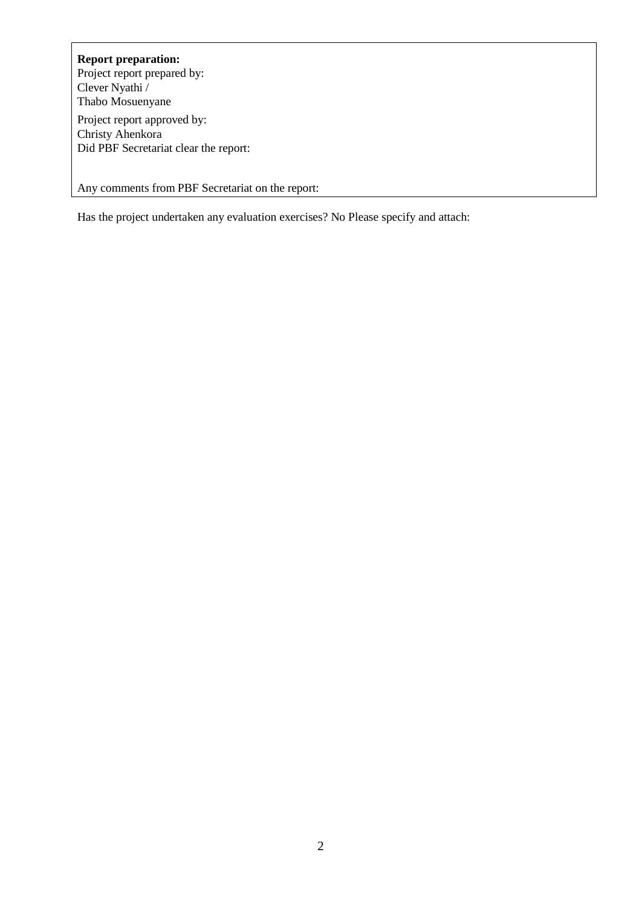# **Report preparation:**

Project report prepared by: Clever Nyathi / Thabo Mosuenyane Project report approved by: Christy Ahenkora Did PBF Secretariat clear the report:

Any comments from PBF Secretariat on the report:

Has the project undertaken any evaluation exercises? No Please specify and attach: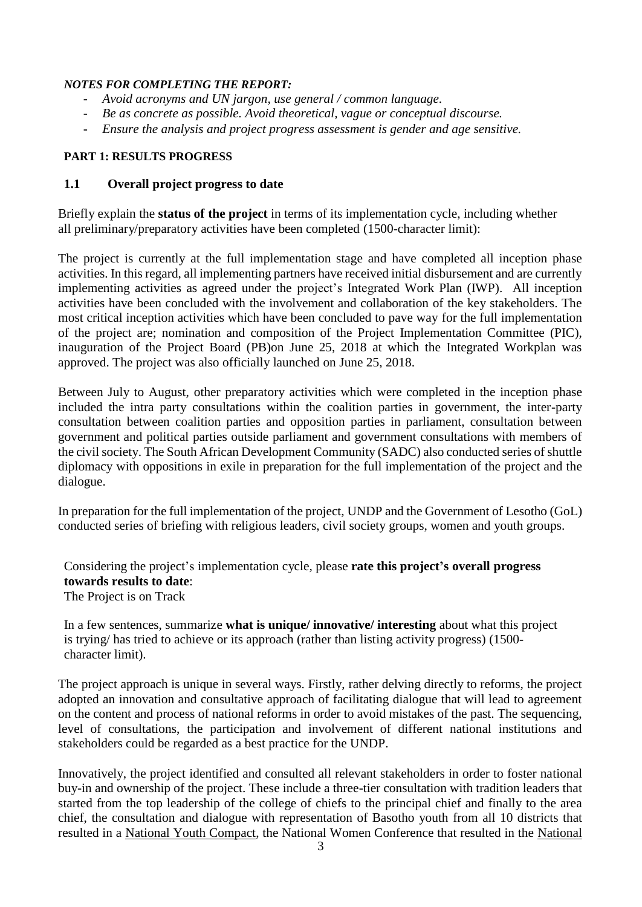#### *NOTES FOR COMPLETING THE REPORT:*

- *Avoid acronyms and UN jargon, use general / common language.*
- *Be as concrete as possible. Avoid theoretical, vague or conceptual discourse.*
- *Ensure the analysis and project progress assessment is gender and age sensitive.*

#### **PART 1: RESULTS PROGRESS**

#### **1.1 Overall project progress to date**

Briefly explain the **status of the project** in terms of its implementation cycle, including whether all preliminary/preparatory activities have been completed (1500-character limit):

The project is currently at the full implementation stage and have completed all inception phase activities. In this regard, all implementing partners have received initial disbursement and are currently implementing activities as agreed under the project's Integrated Work Plan (IWP). All inception activities have been concluded with the involvement and collaboration of the key stakeholders. The most critical inception activities which have been concluded to pave way for the full implementation of the project are; nomination and composition of the Project Implementation Committee (PIC), inauguration of the Project Board (PB)on June 25, 2018 at which the Integrated Workplan was approved. The project was also officially launched on June 25, 2018.

Between July to August, other preparatory activities which were completed in the inception phase included the intra party consultations within the coalition parties in government, the inter-party consultation between coalition parties and opposition parties in parliament, consultation between government and political parties outside parliament and government consultations with members of the civil society. The South African Development Community (SADC) also conducted series of shuttle diplomacy with oppositions in exile in preparation for the full implementation of the project and the dialogue.

In preparation for the full implementation of the project, UNDP and the Government of Lesotho (GoL) conducted series of briefing with religious leaders, civil society groups, women and youth groups.

Considering the project's implementation cycle, please **rate this project's overall progress towards results to date**: The Project is on Track

In a few sentences, summarize **what is unique/ innovative/ interesting** about what this project is trying/ has tried to achieve or its approach (rather than listing activity progress) (1500 character limit).

The project approach is unique in several ways. Firstly, rather delving directly to reforms, the project adopted an innovation and consultative approach of facilitating dialogue that will lead to agreement on the content and process of national reforms in order to avoid mistakes of the past. The sequencing, level of consultations, the participation and involvement of different national institutions and stakeholders could be regarded as a best practice for the UNDP.

Innovatively, the project identified and consulted all relevant stakeholders in order to foster national buy-in and ownership of the project. These include a three-tier consultation with tradition leaders that started from the top leadership of the college of chiefs to the principal chief and finally to the area chief, the consultation and dialogue with representation of Basotho youth from all 10 districts that resulted in a National Youth Compact, the National Women Conference that resulted in the National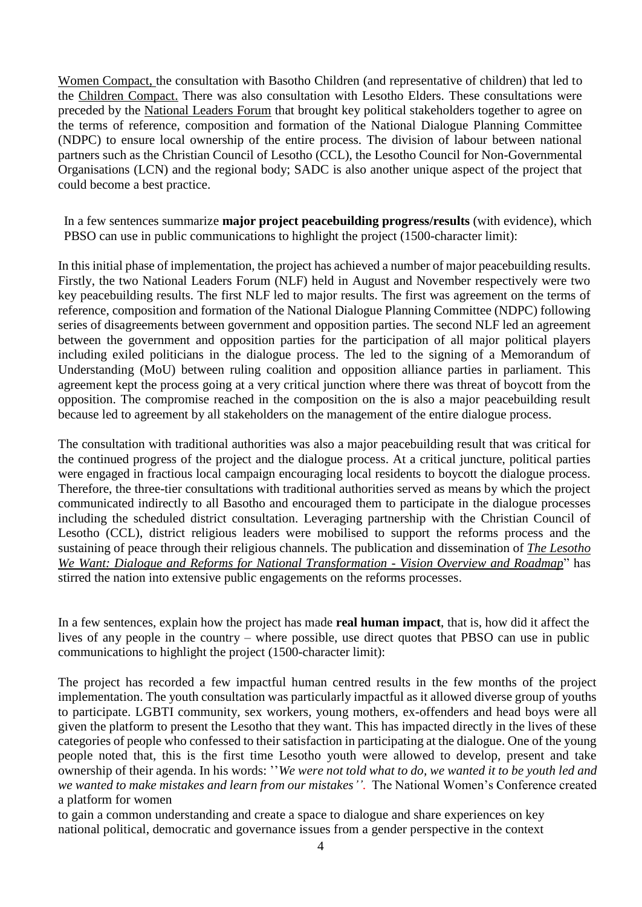Women Compact, the consultation with Basotho Children (and representative of children) that led to the Children Compact. There was also consultation with Lesotho Elders. These consultations were preceded by the National Leaders Forum that brought key political stakeholders together to agree on the terms of reference, composition and formation of the National Dialogue Planning Committee (NDPC) to ensure local ownership of the entire process. The division of labour between national partners such as the Christian Council of Lesotho (CCL), the Lesotho Council for Non-Governmental Organisations (LCN) and the regional body; SADC is also another unique aspect of the project that could become a best practice.

In a few sentences summarize **major project peacebuilding progress/results** (with evidence), which PBSO can use in public communications to highlight the project (1500-character limit):

In this initial phase of implementation, the project has achieved a number of major peacebuilding results. Firstly, the two National Leaders Forum (NLF) held in August and November respectively were two key peacebuilding results. The first NLF led to major results. The first was agreement on the terms of reference, composition and formation of the National Dialogue Planning Committee (NDPC) following series of disagreements between government and opposition parties. The second NLF led an agreement between the government and opposition parties for the participation of all major political players including exiled politicians in the dialogue process. The led to the signing of a Memorandum of Understanding (MoU) between ruling coalition and opposition alliance parties in parliament. This agreement kept the process going at a very critical junction where there was threat of boycott from the opposition. The compromise reached in the composition on the is also a major peacebuilding result because led to agreement by all stakeholders on the management of the entire dialogue process.

The consultation with traditional authorities was also a major peacebuilding result that was critical for the continued progress of the project and the dialogue process. At a critical juncture, political parties were engaged in fractious local campaign encouraging local residents to boycott the dialogue process. Therefore, the three-tier consultations with traditional authorities served as means by which the project communicated indirectly to all Basotho and encouraged them to participate in the dialogue processes including the scheduled district consultation. Leveraging partnership with the Christian Council of Lesotho (CCL), district religious leaders were mobilised to support the reforms process and the sustaining of peace through their religious channels. The publication and dissemination of *The Lesotho We Want: Dialogue and Reforms for National Transformation - Vision Overview and Roadmap*" has stirred the nation into extensive public engagements on the reforms processes.

In a few sentences, explain how the project has made **real human impact**, that is, how did it affect the lives of any people in the country – where possible, use direct quotes that PBSO can use in public communications to highlight the project (1500-character limit):

The project has recorded a few impactful human centred results in the few months of the project implementation. The youth consultation was particularly impactful as it allowed diverse group of youths to participate. LGBTI community, sex workers, young mothers, ex-offenders and head boys were all given the platform to present the Lesotho that they want. This has impacted directly in the lives of these categories of people who confessed to their satisfaction in participating at the dialogue. One of the young people noted that, this is the first time Lesotho youth were allowed to develop, present and take ownership of their agenda. In his words: ''*We were not told what to do, we wanted it to be youth led and we wanted to make mistakes and learn from our mistakes''*. The National Women's Conference created a platform for women

to gain a common understanding and create a space to dialogue and share experiences on key national political, democratic and governance issues from a gender perspective in the context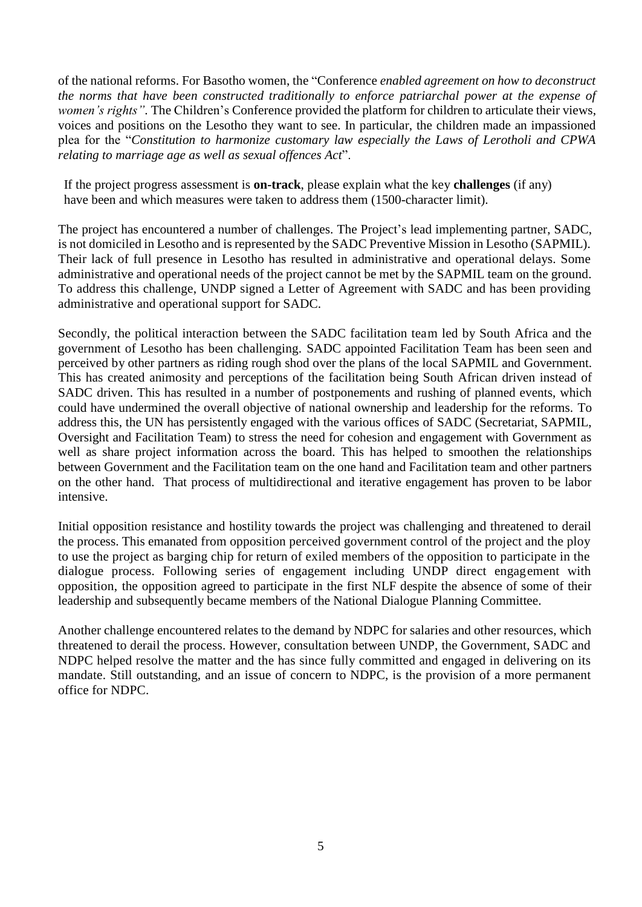of the national reforms. For Basotho women, the "Conference *enabled agreement on how to deconstruct the norms that have been constructed traditionally to enforce patriarchal power at the expense of women's rights".* The Children's Conference provided the platform for children to articulate their views, voices and positions on the Lesotho they want to see. In particular, the children made an impassioned plea for the "*Constitution to harmonize customary law especially the Laws of Lerotholi and CPWA relating to marriage age as well as sexual offences Act*".

If the project progress assessment is **on-track**, please explain what the key **challenges** (if any) have been and which measures were taken to address them (1500-character limit).

The project has encountered a number of challenges. The Project's lead implementing partner, SADC, is not domiciled in Lesotho and is represented by the SADC Preventive Mission in Lesotho (SAPMIL). Their lack of full presence in Lesotho has resulted in administrative and operational delays. Some administrative and operational needs of the project cannot be met by the SAPMIL team on the ground. To address this challenge, UNDP signed a Letter of Agreement with SADC and has been providing administrative and operational support for SADC.

Secondly, the political interaction between the SADC facilitation team led by South Africa and the government of Lesotho has been challenging. SADC appointed Facilitation Team has been seen and perceived by other partners as riding rough shod over the plans of the local SAPMIL and Government. This has created animosity and perceptions of the facilitation being South African driven instead of SADC driven. This has resulted in a number of postponements and rushing of planned events, which could have undermined the overall objective of national ownership and leadership for the reforms. To address this, the UN has persistently engaged with the various offices of SADC (Secretariat, SAPMIL, Oversight and Facilitation Team) to stress the need for cohesion and engagement with Government as well as share project information across the board. This has helped to smoothen the relationships between Government and the Facilitation team on the one hand and Facilitation team and other partners on the other hand. That process of multidirectional and iterative engagement has proven to be labor intensive.

Initial opposition resistance and hostility towards the project was challenging and threatened to derail the process. This emanated from opposition perceived government control of the project and the ploy to use the project as barging chip for return of exiled members of the opposition to participate in the dialogue process. Following series of engagement including UNDP direct engagement with opposition, the opposition agreed to participate in the first NLF despite the absence of some of their leadership and subsequently became members of the National Dialogue Planning Committee.

Another challenge encountered relates to the demand by NDPC for salaries and other resources, which threatened to derail the process. However, consultation between UNDP, the Government, SADC and NDPC helped resolve the matter and the has since fully committed and engaged in delivering on its mandate. Still outstanding, and an issue of concern to NDPC, is the provision of a more permanent office for NDPC.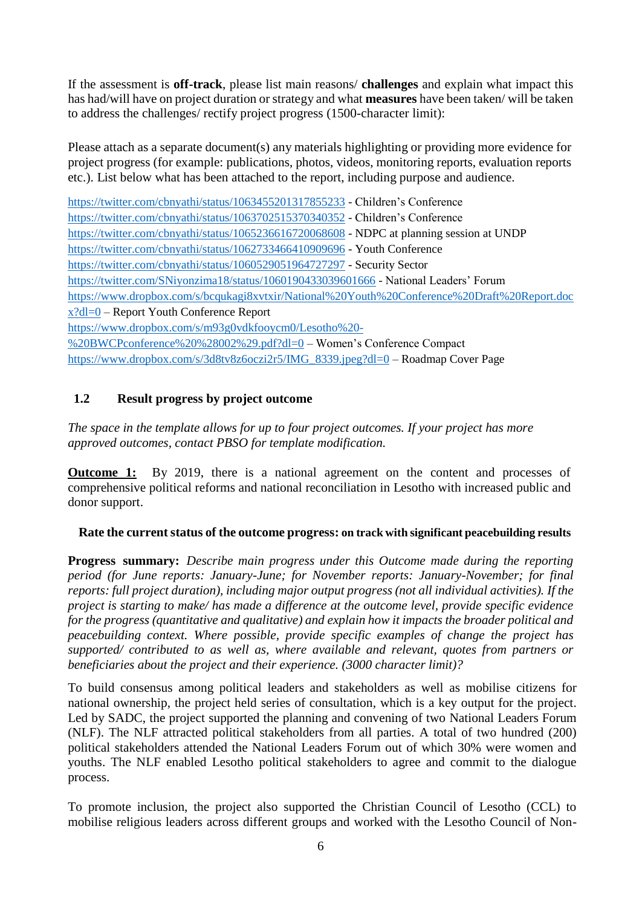If the assessment is **off-track**, please list main reasons/ **challenges** and explain what impact this has had/will have on project duration or strategy and what **measures** have been taken/ will be taken to address the challenges/ rectify project progress (1500-character limit):

Please attach as a separate document(s) any materials highlighting or providing more evidence for project progress (for example: publications, photos, videos, monitoring reports, evaluation reports etc.). List below what has been attached to the report, including purpose and audience.

<https://twitter.com/cbnyathi/status/1063455201317855233> - Children's Conference <https://twitter.com/cbnyathi/status/1063702515370340352> - Children's Conference <https://twitter.com/cbnyathi/status/1065236616720068608> - NDPC at planning session at UNDP <https://twitter.com/cbnyathi/status/1062733466410909696> - Youth Conference <https://twitter.com/cbnyathi/status/1060529051964727297> - Security Sector <https://twitter.com/SNiyonzima18/status/1060190433039601666> - National Leaders' Forum [https://www.dropbox.com/s/bcqukagi8xvtxir/National%20Youth%20Conference%20Draft%20Report.doc](https://www.dropbox.com/s/bcqukagi8xvtxir/National%20Youth%20Conference%20Draft%20Report.docx?dl=0)  $x?dl=0$  – Report Youth Conference Report [https://www.dropbox.com/s/m93g0vdkfooycm0/Lesotho%20-](https://www.dropbox.com/s/m93g0vdkfooycm0/Lesotho%20-%20BWCPconference%20%28002%29.pdf?dl=0) [%20BWCPconference%20%28002%29.pdf?dl=0](https://www.dropbox.com/s/m93g0vdkfooycm0/Lesotho%20-%20BWCPconference%20%28002%29.pdf?dl=0) – Women's Conference Compact [https://www.dropbox.com/s/3d8tv8z6oczi2r5/IMG\\_8339.jpeg?dl=0](https://www.dropbox.com/s/3d8tv8z6oczi2r5/IMG_8339.jpeg?dl=0) – Roadmap Cover Page

## **1.2 Result progress by project outcome**

*The space in the template allows for up to four project outcomes. If your project has more approved outcomes, contact PBSO for template modification.*

**Outcome 1:** By 2019, there is a national agreement on the content and processes of comprehensive political reforms and national reconciliation in Lesotho with increased public and donor support.

## **Rate the current status of the outcome progress: on track with significant peacebuilding results**

**Progress summary:** *Describe main progress under this Outcome made during the reporting period (for June reports: January-June; for November reports: January-November; for final reports: full project duration), including major output progress (not all individual activities). If the project is starting to make/ has made a difference at the outcome level, provide specific evidence for the progress (quantitative and qualitative) and explain how it impacts the broader political and peacebuilding context. Where possible, provide specific examples of change the project has supported/ contributed to as well as, where available and relevant, quotes from partners or beneficiaries about the project and their experience. (3000 character limit)?*

To build consensus among political leaders and stakeholders as well as mobilise citizens for national ownership, the project held series of consultation, which is a key output for the project. Led by SADC, the project supported the planning and convening of two National Leaders Forum (NLF). The NLF attracted political stakeholders from all parties. A total of two hundred (200) political stakeholders attended the National Leaders Forum out of which 30% were women and youths. The NLF enabled Lesotho political stakeholders to agree and commit to the dialogue process.

To promote inclusion, the project also supported the Christian Council of Lesotho (CCL) to mobilise religious leaders across different groups and worked with the Lesotho Council of Non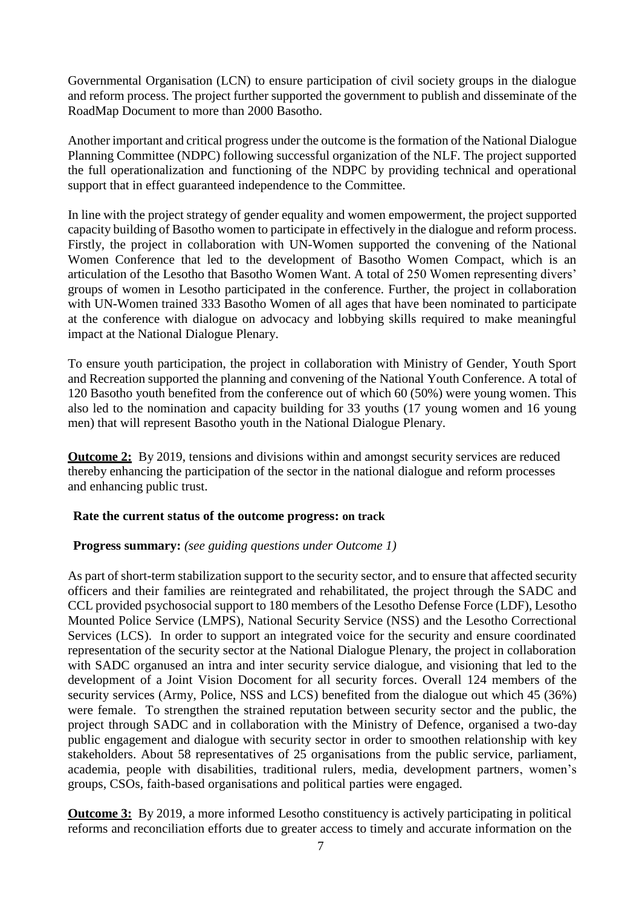Governmental Organisation (LCN) to ensure participation of civil society groups in the dialogue and reform process. The project further supported the government to publish and disseminate of the RoadMap Document to more than 2000 Basotho.

Another important and critical progress under the outcome is the formation of the National Dialogue Planning Committee (NDPC) following successful organization of the NLF. The project supported the full operationalization and functioning of the NDPC by providing technical and operational support that in effect guaranteed independence to the Committee.

In line with the project strategy of gender equality and women empowerment, the project supported capacity building of Basotho women to participate in effectively in the dialogue and reform process. Firstly, the project in collaboration with UN-Women supported the convening of the National Women Conference that led to the development of Basotho Women Compact, which is an articulation of the Lesotho that Basotho Women Want. A total of 250 Women representing divers' groups of women in Lesotho participated in the conference. Further, the project in collaboration with UN-Women trained 333 Basotho Women of all ages that have been nominated to participate at the conference with dialogue on advocacy and lobbying skills required to make meaningful impact at the National Dialogue Plenary.

To ensure youth participation, the project in collaboration with Ministry of Gender, Youth Sport and Recreation supported the planning and convening of the National Youth Conference. A total of 120 Basotho youth benefited from the conference out of which 60 (50%) were young women. This also led to the nomination and capacity building for 33 youths (17 young women and 16 young men) that will represent Basotho youth in the National Dialogue Plenary.

**Outcome 2:** By 2019, tensions and divisions within and amongst security services are reduced thereby enhancing the participation of the sector in the national dialogue and reform processes and enhancing public trust.

#### **Rate the current status of the outcome progress: on track**

#### **Progress summary:** *(see guiding questions under Outcome 1)*

As part of short-term stabilization support to the security sector, and to ensure that affected security officers and their families are reintegrated and rehabilitated, the project through the SADC and CCL provided psychosocial support to 180 members of the Lesotho Defense Force (LDF), Lesotho Mounted Police Service (LMPS), National Security Service (NSS) and the Lesotho Correctional Services (LCS). In order to support an integrated voice for the security and ensure coordinated representation of the security sector at the National Dialogue Plenary, the project in collaboration with SADC organused an intra and inter security service dialogue, and visioning that led to the development of a Joint Vision Docoment for all security forces. Overall 124 members of the security services (Army, Police, NSS and LCS) benefited from the dialogue out which 45 (36%) were female. To strengthen the strained reputation between security sector and the public, the project through SADC and in collaboration with the Ministry of Defence, organised a two-day public engagement and dialogue with security sector in order to smoothen relationship with key stakeholders. About 58 representatives of 25 organisations from the public service, parliament, academia, people with disabilities, traditional rulers, media, development partners, women's groups, CSOs, faith-based organisations and political parties were engaged.

**Outcome 3:** By 2019, a more informed Lesotho constituency is actively participating in political reforms and reconciliation efforts due to greater access to timely and accurate information on the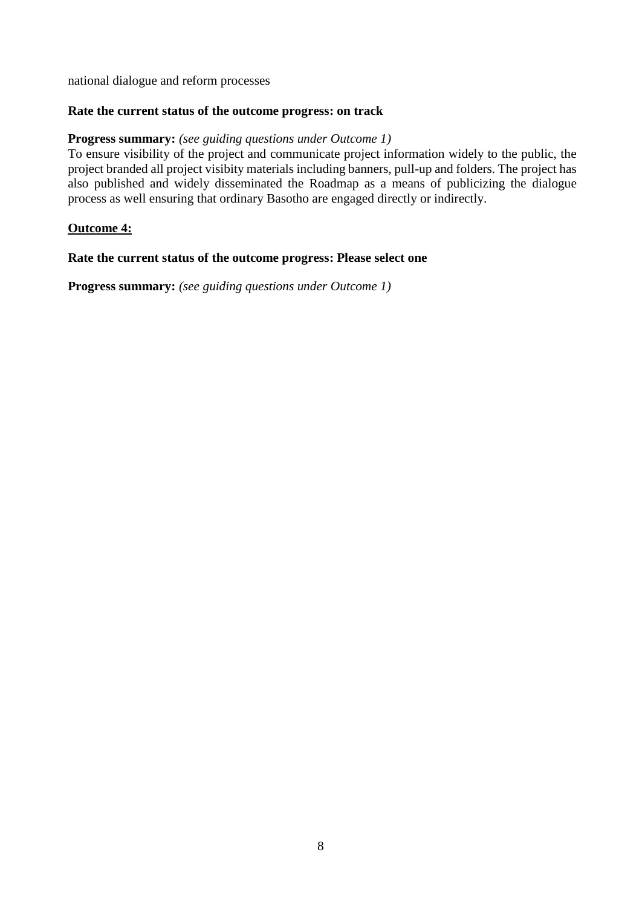national dialogue and reform processes

### **Rate the current status of the outcome progress: on track**

#### **Progress summary:** *(see guiding questions under Outcome 1)*

To ensure visibility of the project and communicate project information widely to the public, the project branded all project visibity materials including banners, pull-up and folders. The project has also published and widely disseminated the Roadmap as a means of publicizing the dialogue process as well ensuring that ordinary Basotho are engaged directly or indirectly.

#### **Outcome 4:**

#### **Rate the current status of the outcome progress: Please select one**

**Progress summary:** *(see guiding questions under Outcome 1)*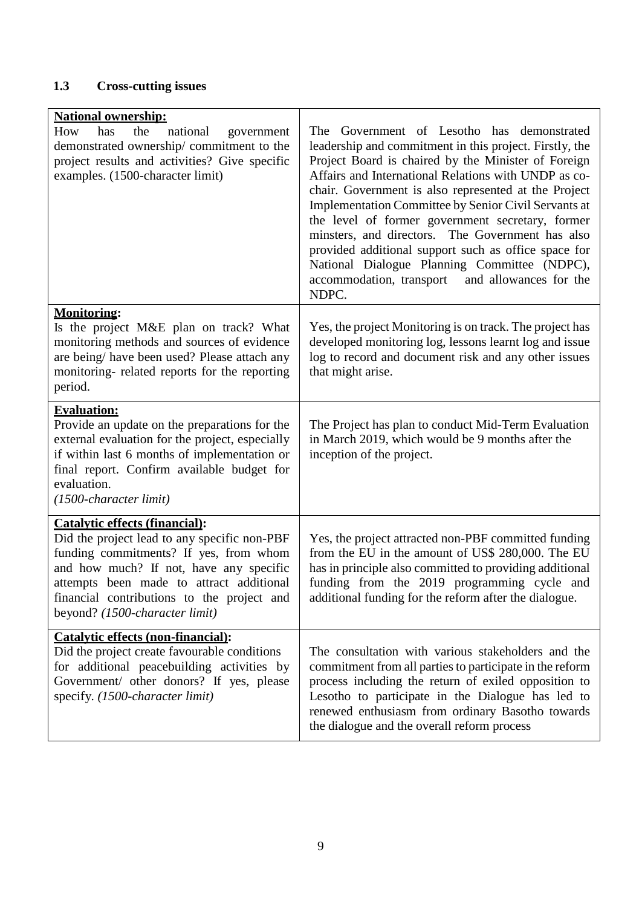## **1.3 Cross-cutting issues**

| <b>National ownership:</b><br>How<br>has<br>the<br>national<br>government<br>demonstrated ownership/commitment to the<br>project results and activities? Give specific<br>examples. (1500-character limit)                                                                                             | Government of Lesotho has demonstrated<br>The<br>leadership and commitment in this project. Firstly, the<br>Project Board is chaired by the Minister of Foreign<br>Affairs and International Relations with UNDP as co-<br>chair. Government is also represented at the Project<br>Implementation Committee by Senior Civil Servants at<br>the level of former government secretary, former<br>minsters, and directors. The Government has also<br>provided additional support such as office space for<br>National Dialogue Planning Committee (NDPC),<br>and allowances for the<br>accommodation, transport<br>NDPC. |
|--------------------------------------------------------------------------------------------------------------------------------------------------------------------------------------------------------------------------------------------------------------------------------------------------------|------------------------------------------------------------------------------------------------------------------------------------------------------------------------------------------------------------------------------------------------------------------------------------------------------------------------------------------------------------------------------------------------------------------------------------------------------------------------------------------------------------------------------------------------------------------------------------------------------------------------|
| <b>Monitoring:</b><br>Is the project M&E plan on track? What<br>monitoring methods and sources of evidence<br>are being/ have been used? Please attach any<br>monitoring- related reports for the reporting<br>period.                                                                                 | Yes, the project Monitoring is on track. The project has<br>developed monitoring log, lessons learnt log and issue<br>log to record and document risk and any other issues<br>that might arise.                                                                                                                                                                                                                                                                                                                                                                                                                        |
| <b>Evaluation:</b><br>Provide an update on the preparations for the<br>external evaluation for the project, especially<br>if within last 6 months of implementation or<br>final report. Confirm available budget for<br>evaluation.<br>$(1500$ -character limit)                                       | The Project has plan to conduct Mid-Term Evaluation<br>in March 2019, which would be 9 months after the<br>inception of the project.                                                                                                                                                                                                                                                                                                                                                                                                                                                                                   |
| <b>Catalytic effects (financial):</b><br>Did the project lead to any specific non-PBF<br>funding commitments? If yes, from whom<br>and how much? If not, have any specific<br>attempts been made to attract additional<br>financial contributions to the project and<br>beyond? (1500-character limit) | Yes, the project attracted non-PBF committed funding<br>from the EU in the amount of US\$ 280,000. The EU<br>has in principle also committed to providing additional<br>funding from the 2019 programming cycle and<br>additional funding for the reform after the dialogue.                                                                                                                                                                                                                                                                                                                                           |
| <b>Catalytic effects (non-financial):</b><br>Did the project create favourable conditions<br>for additional peacebuilding activities by<br>Government/ other donors? If yes, please<br>specify. (1500-character limit)                                                                                 | The consultation with various stakeholders and the<br>commitment from all parties to participate in the reform<br>process including the return of exiled opposition to<br>Lesotho to participate in the Dialogue has led to<br>renewed enthusiasm from ordinary Basotho towards<br>the dialogue and the overall reform process                                                                                                                                                                                                                                                                                         |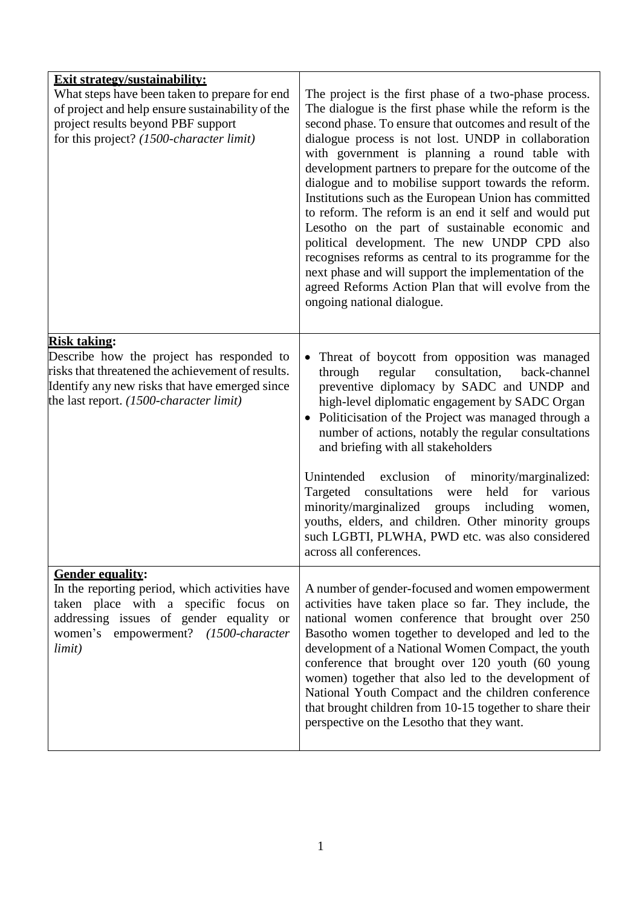| <b>Exit strategy/sustainability:</b><br>What steps have been taken to prepare for end<br>of project and help ensure sustainability of the<br>project results beyond PBF support<br>for this project? (1500-character limit) | The project is the first phase of a two-phase process.<br>The dialogue is the first phase while the reform is the<br>second phase. To ensure that outcomes and result of the<br>dialogue process is not lost. UNDP in collaboration<br>with government is planning a round table with<br>development partners to prepare for the outcome of the<br>dialogue and to mobilise support towards the reform.<br>Institutions such as the European Union has committed<br>to reform. The reform is an end it self and would put<br>Lesotho on the part of sustainable economic and<br>political development. The new UNDP CPD also<br>recognises reforms as central to its programme for the<br>next phase and will support the implementation of the<br>agreed Reforms Action Plan that will evolve from the<br>ongoing national dialogue. |
|-----------------------------------------------------------------------------------------------------------------------------------------------------------------------------------------------------------------------------|---------------------------------------------------------------------------------------------------------------------------------------------------------------------------------------------------------------------------------------------------------------------------------------------------------------------------------------------------------------------------------------------------------------------------------------------------------------------------------------------------------------------------------------------------------------------------------------------------------------------------------------------------------------------------------------------------------------------------------------------------------------------------------------------------------------------------------------|
| <b>Risk taking:</b><br>Describe how the project has responded to<br>risks that threatened the achievement of results.<br>Identify any new risks that have emerged since<br>the last report. $(1500$ -character limit)       | Threat of boycott from opposition was managed<br>$\bullet$<br>consultation,<br>through<br>regular<br>back-channel<br>preventive diplomacy by SADC and UNDP and<br>high-level diplomatic engagement by SADC Organ<br>Politicisation of the Project was managed through a<br>number of actions, notably the regular consultations<br>and briefing with all stakeholders<br>Unintended exclusion<br>of<br>minority/marginalized:<br>Targeted consultations<br>held for<br>various<br>were<br>minority/marginalized<br>including<br>groups<br>women,<br>youths, elders, and children. Other minority groups<br>such LGBTI, PLWHA, PWD etc. was also considered<br>across all conferences.                                                                                                                                                 |
| <b>Gender equality:</b><br>In the reporting period, which activities have<br>taken place with a specific focus on<br>addressing issues of gender equality or<br>women's empowerment? (1500-character<br>limit)              | A number of gender-focused and women empowerment<br>activities have taken place so far. They include, the<br>national women conference that brought over 250<br>Basotho women together to developed and led to the<br>development of a National Women Compact, the youth<br>conference that brought over 120 youth (60 young<br>women) together that also led to the development of<br>National Youth Compact and the children conference<br>that brought children from 10-15 together to share their<br>perspective on the Lesotho that they want.                                                                                                                                                                                                                                                                                   |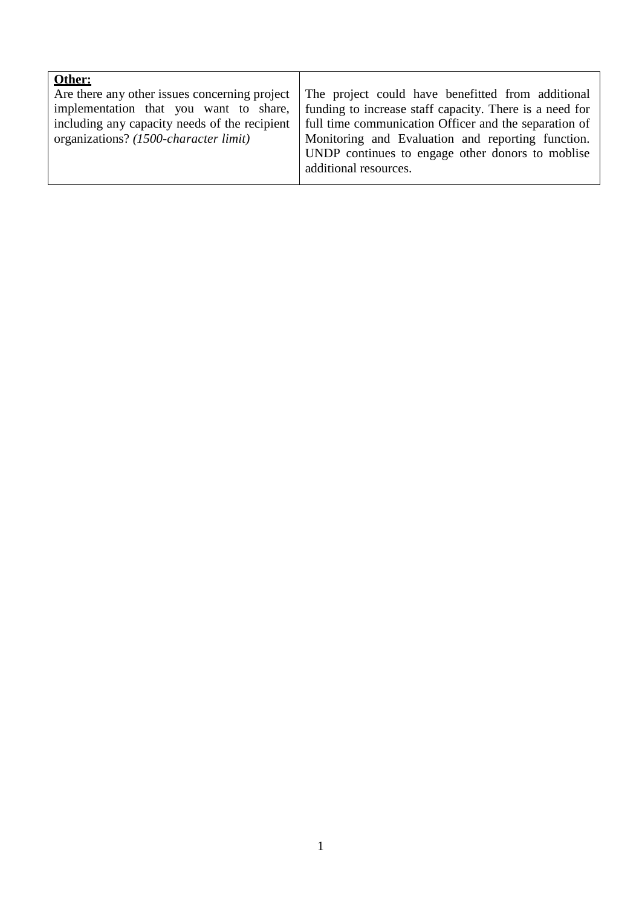| Other:                                        |                                                         |
|-----------------------------------------------|---------------------------------------------------------|
| Are there any other issues concerning project | The project could have benefitted from additional       |
| implementation that you want to share,        | funding to increase staff capacity. There is a need for |
| including any capacity needs of the recipient | full time communication Officer and the separation of   |
| organizations? (1500-character limit)         | Monitoring and Evaluation and reporting function.       |
|                                               | UNDP continues to engage other donors to moblise        |
|                                               | additional resources.                                   |
|                                               |                                                         |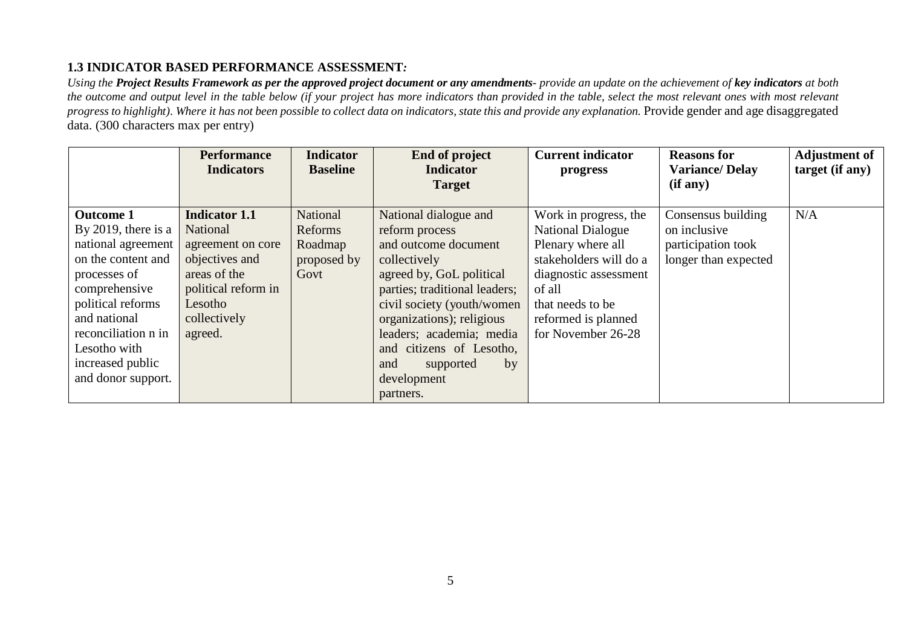## **1.3 INDICATOR BASED PERFORMANCE ASSESSMENT***:*

Using the Project Results Framework as per the approved project document or any amendments- provide an update on the achievement of key indicators at both the outcome and output level in the table below (if your project has more indicators than provided in the table, select the most relevant ones with most relevant progress to highlight). Where it has not been possible to collect data on indicators, state this and provide any explanation. Provide gender and age disaggregated data. (300 characters max per entry)

|                     | <b>Performance</b>   | <b>Indicator</b> | <b>End of project</b>         | <b>Current indicator</b> | <b>Reasons for</b>    | <b>Adjustment of</b> |
|---------------------|----------------------|------------------|-------------------------------|--------------------------|-----------------------|----------------------|
|                     | <b>Indicators</b>    | <b>Baseline</b>  | <b>Indicator</b>              | progress                 | <b>Variance/Delay</b> | target (if any)      |
|                     |                      |                  | <b>Target</b>                 |                          | (if any)              |                      |
|                     |                      |                  |                               |                          |                       |                      |
| <b>Outcome 1</b>    | <b>Indicator 1.1</b> | National         | National dialogue and         | Work in progress, the    | Consensus building    | N/A                  |
| By 2019, there is a | National             | Reforms          | reform process                | <b>National Dialogue</b> | on inclusive          |                      |
| national agreement  | agreement on core    | Roadmap          | and outcome document          | Plenary where all        | participation took    |                      |
| on the content and  | objectives and       | proposed by      | collectively                  | stakeholders will do a   | longer than expected  |                      |
| processes of        | areas of the         | Govt             | agreed by, GoL political      | diagnostic assessment    |                       |                      |
| comprehensive       | political reform in  |                  | parties; traditional leaders; | of all                   |                       |                      |
| political reforms   | Lesotho              |                  | civil society (youth/women    | that needs to be         |                       |                      |
| and national        | collectively         |                  | organizations); religious     | reformed is planned      |                       |                      |
| reconciliation n in | agreed.              |                  | leaders; academia; media      | for November 26-28       |                       |                      |
| Lesotho with        |                      |                  | and citizens of Lesotho,      |                          |                       |                      |
| increased public    |                      |                  | by<br>and<br>supported        |                          |                       |                      |
| and donor support.  |                      |                  | development                   |                          |                       |                      |
|                     |                      |                  | partners.                     |                          |                       |                      |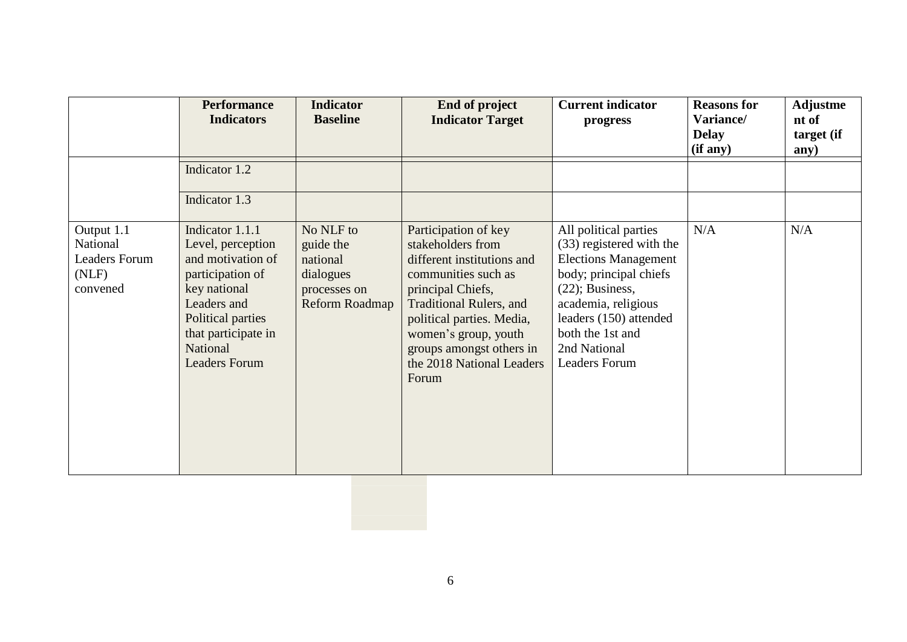|                                                                     | <b>Performance</b><br><b>Indicators</b>                                                                                                                                                      | <b>Indicator</b><br><b>Baseline</b>                                               | End of project<br><b>Indicator Target</b>                                                                                                                                                                                                                                    | <b>Current indicator</b><br>progress                                                                                                                                                                                                          | <b>Reasons for</b><br>Variance/<br><b>Delay</b><br>(if any) | Adjustme<br>nt of<br>target (if<br>any) |
|---------------------------------------------------------------------|----------------------------------------------------------------------------------------------------------------------------------------------------------------------------------------------|-----------------------------------------------------------------------------------|------------------------------------------------------------------------------------------------------------------------------------------------------------------------------------------------------------------------------------------------------------------------------|-----------------------------------------------------------------------------------------------------------------------------------------------------------------------------------------------------------------------------------------------|-------------------------------------------------------------|-----------------------------------------|
|                                                                     | Indicator 1.2<br>Indicator 1.3                                                                                                                                                               |                                                                                   |                                                                                                                                                                                                                                                                              |                                                                                                                                                                                                                                               |                                                             |                                         |
| Output 1.1<br>National<br><b>Leaders Forum</b><br>(NLF)<br>convened | Indicator 1.1.1<br>Level, perception<br>and motivation of<br>participation of<br>key national<br>Leaders and<br>Political parties<br>that participate in<br>National<br><b>Leaders Forum</b> | No NLF to<br>guide the<br>national<br>dialogues<br>processes on<br>Reform Roadmap | Participation of key<br>stakeholders from<br>different institutions and<br>communities such as<br>principal Chiefs,<br><b>Traditional Rulers, and</b><br>political parties. Media,<br>women's group, youth<br>groups amongst others in<br>the 2018 National Leaders<br>Forum | All political parties<br>(33) registered with the<br><b>Elections Management</b><br>body; principal chiefs<br>$(22)$ ; Business,<br>academia, religious<br>leaders (150) attended<br>both the 1st and<br>2nd National<br><b>Leaders Forum</b> | N/A                                                         | N/A                                     |
|                                                                     |                                                                                                                                                                                              |                                                                                   |                                                                                                                                                                                                                                                                              |                                                                                                                                                                                                                                               |                                                             |                                         |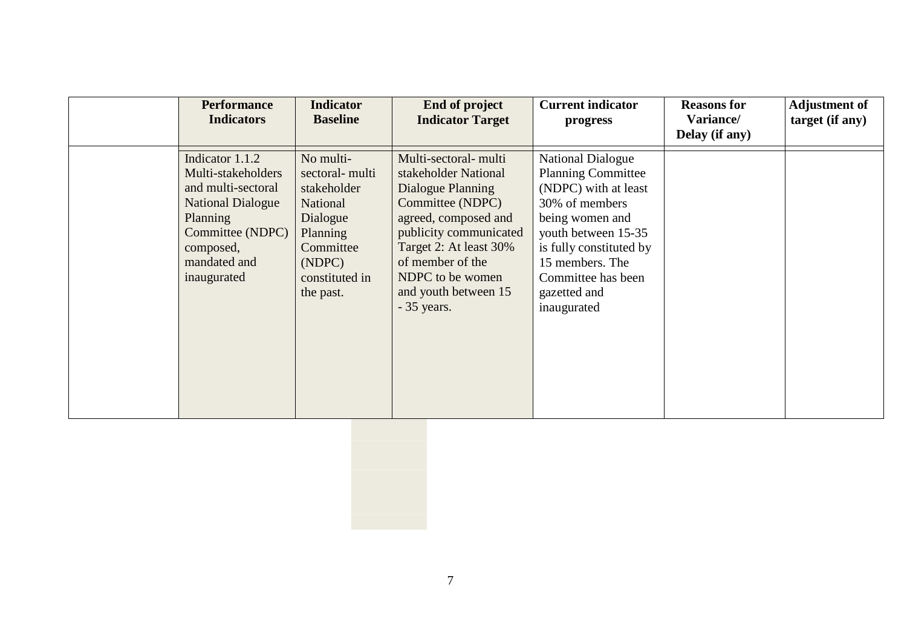| <b>Performance</b><br><b>Indicators</b>                                                                                                                             | <b>Indicator</b><br><b>Baseline</b>                                                                                                  | <b>End of project</b><br><b>Indicator Target</b>                                                                                                                                                                                                  | <b>Current indicator</b><br>progress                                                                                                                                                                                                         | <b>Reasons for</b><br>Variance/<br>Delay (if any) | <b>Adjustment of</b><br>target (if any) |
|---------------------------------------------------------------------------------------------------------------------------------------------------------------------|--------------------------------------------------------------------------------------------------------------------------------------|---------------------------------------------------------------------------------------------------------------------------------------------------------------------------------------------------------------------------------------------------|----------------------------------------------------------------------------------------------------------------------------------------------------------------------------------------------------------------------------------------------|---------------------------------------------------|-----------------------------------------|
| Indicator 1.1.2<br>Multi-stakeholders<br>and multi-sectoral<br><b>National Dialogue</b><br>Planning<br>Committee (NDPC)<br>composed,<br>mandated and<br>inaugurated | No multi-<br>sectoral-multi<br>stakeholder<br>National<br>Dialogue<br>Planning<br>Committee<br>(NDPC)<br>constituted in<br>the past. | Multi-sectoral- multi<br>stakeholder National<br>Dialogue Planning<br>Committee (NDPC)<br>agreed, composed and<br>publicity communicated<br>Target 2: At least 30%<br>of member of the<br>NDPC to be women<br>and youth between 15<br>- 35 years. | <b>National Dialogue</b><br><b>Planning Committee</b><br>(NDPC) with at least<br>30% of members<br>being women and<br>youth between 15-35<br>is fully constituted by<br>15 members. The<br>Committee has been<br>gazetted and<br>inaugurated |                                                   |                                         |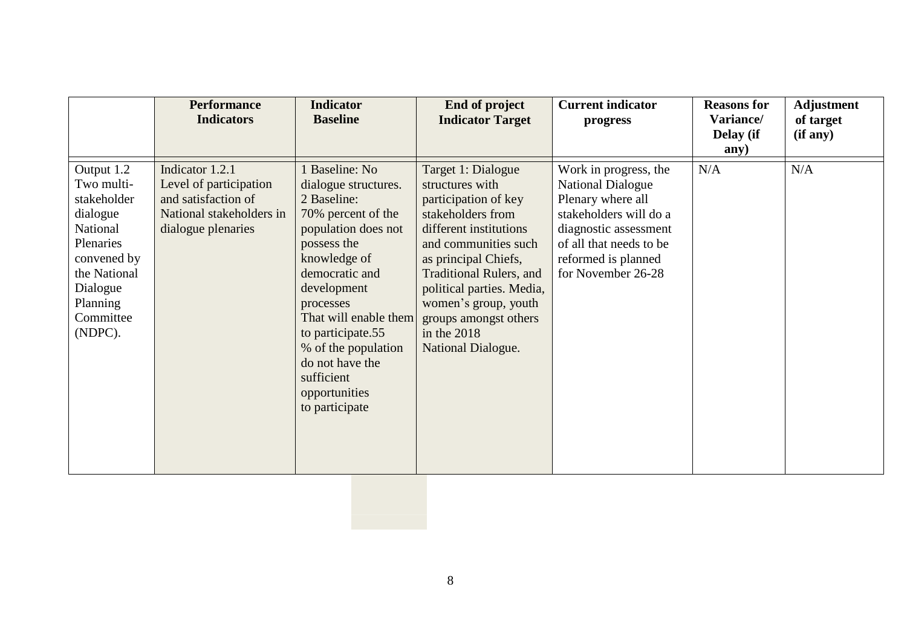|                                                                                                                                                             | <b>Performance</b><br><b>Indicators</b>                                                                            | <b>Indicator</b><br><b>Baseline</b>                                                                                                                                                                                                                                                                                      | End of project<br><b>Indicator Target</b>                                                                                                                                                                                                                                                                         | <b>Current indicator</b><br>progress                                                                                                                                                              | <b>Reasons for</b><br>Variance/<br>Delay (if<br>any) | <b>Adjustment</b><br>of target<br>(if any) |
|-------------------------------------------------------------------------------------------------------------------------------------------------------------|--------------------------------------------------------------------------------------------------------------------|--------------------------------------------------------------------------------------------------------------------------------------------------------------------------------------------------------------------------------------------------------------------------------------------------------------------------|-------------------------------------------------------------------------------------------------------------------------------------------------------------------------------------------------------------------------------------------------------------------------------------------------------------------|---------------------------------------------------------------------------------------------------------------------------------------------------------------------------------------------------|------------------------------------------------------|--------------------------------------------|
| Output 1.2<br>Two multi-<br>stakeholder<br>dialogue<br>National<br>Plenaries<br>convened by<br>the National<br>Dialogue<br>Planning<br>Committee<br>(NDPC). | Indicator 1.2.1<br>Level of participation<br>and satisfaction of<br>National stakeholders in<br>dialogue plenaries | 1 Baseline: No<br>dialogue structures.<br>2 Baseline:<br>70% percent of the<br>population does not<br>possess the<br>knowledge of<br>democratic and<br>development<br>processes<br>That will enable them<br>to participate.55<br>% of the population<br>do not have the<br>sufficient<br>opportunities<br>to participate | Target 1: Dialogue<br>structures with<br>participation of key<br>stakeholders from<br>different institutions<br>and communities such<br>as principal Chiefs,<br><b>Traditional Rulers, and</b><br>political parties. Media,<br>women's group, youth<br>groups amongst others<br>in the 2018<br>National Dialogue. | Work in progress, the<br><b>National Dialogue</b><br>Plenary where all<br>stakeholders will do a<br>diagnostic assessment<br>of all that needs to be<br>reformed is planned<br>for November 26-28 | N/A                                                  | N/A                                        |
|                                                                                                                                                             |                                                                                                                    |                                                                                                                                                                                                                                                                                                                          |                                                                                                                                                                                                                                                                                                                   |                                                                                                                                                                                                   |                                                      |                                            |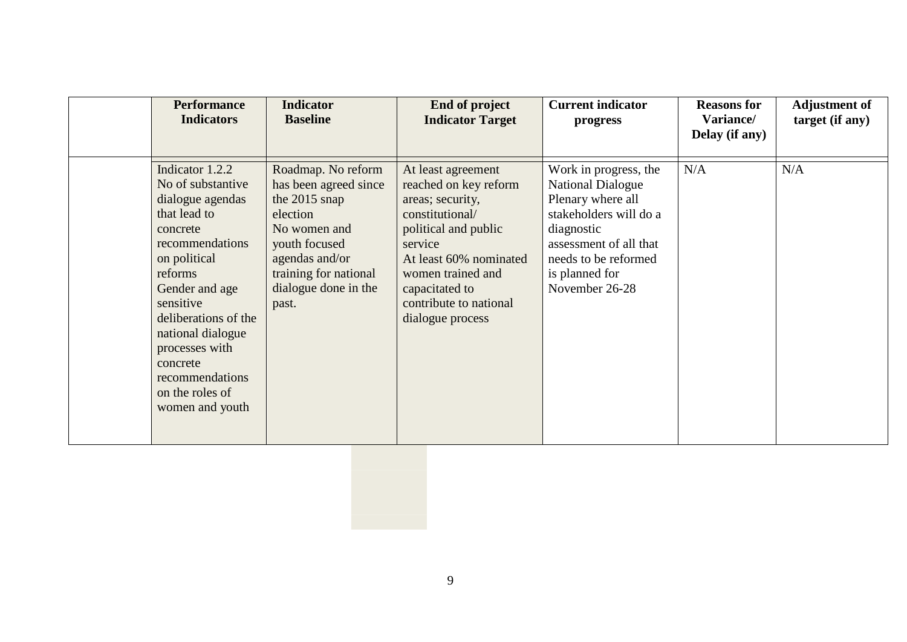| <b>Performance</b><br><b>Indicators</b>                                                                                                                                                                                                                                                               | <b>Indicator</b><br><b>Baseline</b>                                                                                                                                                   | <b>End of project</b><br><b>Indicator Target</b>                                                                                                                                                                                     | <b>Current indicator</b><br>progress                                                                                                                                                                 | <b>Reasons for</b><br>Variance/<br>Delay (if any) | <b>Adjustment of</b><br>target (if any) |
|-------------------------------------------------------------------------------------------------------------------------------------------------------------------------------------------------------------------------------------------------------------------------------------------------------|---------------------------------------------------------------------------------------------------------------------------------------------------------------------------------------|--------------------------------------------------------------------------------------------------------------------------------------------------------------------------------------------------------------------------------------|------------------------------------------------------------------------------------------------------------------------------------------------------------------------------------------------------|---------------------------------------------------|-----------------------------------------|
| Indicator 1.2.2<br>No of substantive<br>dialogue agendas<br>that lead to<br>concrete<br>recommendations<br>on political<br>reforms<br>Gender and age<br>sensitive<br>deliberations of the<br>national dialogue<br>processes with<br>concrete<br>recommendations<br>on the roles of<br>women and youth | Roadmap. No reform<br>has been agreed since<br>the 2015 snap<br>election<br>No women and<br>youth focused<br>agendas and/or<br>training for national<br>dialogue done in the<br>past. | At least agreement<br>reached on key reform<br>areas; security,<br>constitutional/<br>political and public<br>service<br>At least 60% nominated<br>women trained and<br>capacitated to<br>contribute to national<br>dialogue process | Work in progress, the<br><b>National Dialogue</b><br>Plenary where all<br>stakeholders will do a<br>diagnostic<br>assessment of all that<br>needs to be reformed<br>is planned for<br>November 26-28 | N/A                                               | N/A                                     |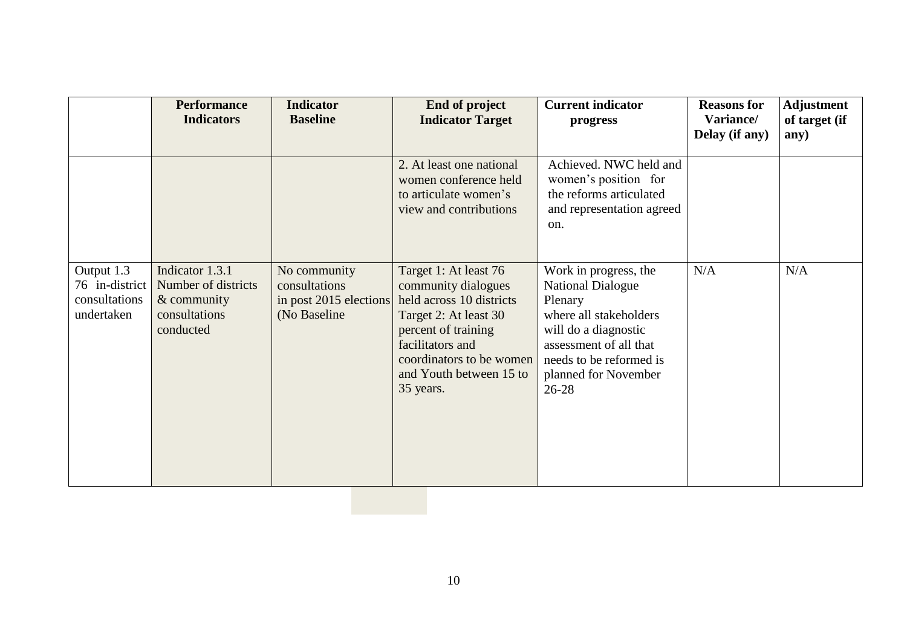|                                                             | <b>Performance</b><br><b>Indicators</b>                                             | <b>Indicator</b><br><b>Baseline</b>                                     | End of project<br><b>Indicator Target</b>                                                                                                                                                                        | <b>Current indicator</b><br>progress                                                                                                                                                                     | <b>Reasons for</b><br>Variance/<br>Delay (if any) | <b>Adjustment</b><br>of target (if<br>any) |
|-------------------------------------------------------------|-------------------------------------------------------------------------------------|-------------------------------------------------------------------------|------------------------------------------------------------------------------------------------------------------------------------------------------------------------------------------------------------------|----------------------------------------------------------------------------------------------------------------------------------------------------------------------------------------------------------|---------------------------------------------------|--------------------------------------------|
|                                                             |                                                                                     |                                                                         | 2. At least one national<br>women conference held<br>to articulate women's<br>view and contributions                                                                                                             | Achieved. NWC held and<br>women's position for<br>the reforms articulated<br>and representation agreed<br>on.                                                                                            |                                                   |                                            |
| Output 1.3<br>76 in-district<br>consultations<br>undertaken | Indicator 1.3.1<br>Number of districts<br>& community<br>consultations<br>conducted | No community<br>consultations<br>in post 2015 elections<br>(No Baseline | Target 1: At least 76<br>community dialogues<br>held across 10 districts<br>Target 2: At least 30<br>percent of training<br>facilitators and<br>coordinators to be women<br>and Youth between 15 to<br>35 years. | Work in progress, the<br><b>National Dialogue</b><br>Plenary<br>where all stakeholders<br>will do a diagnostic<br>assessment of all that<br>needs to be reformed is<br>planned for November<br>$26 - 28$ | N/A                                               | N/A                                        |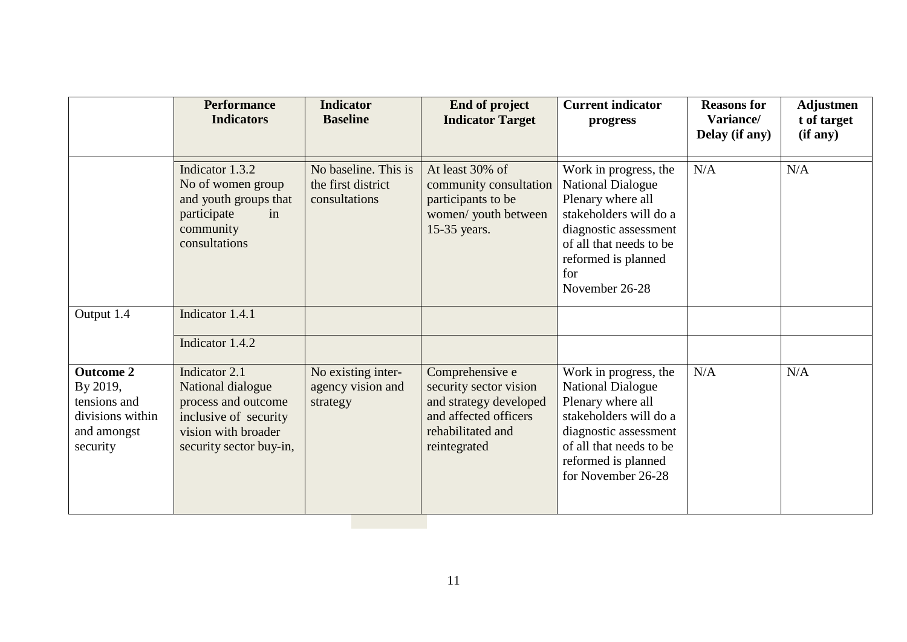|                                                                                             | <b>Performance</b><br><b>Indicators</b>                                                                                              | <b>Indicator</b><br><b>Baseline</b>                         | End of project<br><b>Indicator Target</b>                                                                                         | <b>Current indicator</b><br>progress                                                                                                                                                                 | <b>Reasons for</b><br>Variance/<br>Delay (if any) | <b>Adjustmen</b><br>t of target<br>(if any) |
|---------------------------------------------------------------------------------------------|--------------------------------------------------------------------------------------------------------------------------------------|-------------------------------------------------------------|-----------------------------------------------------------------------------------------------------------------------------------|------------------------------------------------------------------------------------------------------------------------------------------------------------------------------------------------------|---------------------------------------------------|---------------------------------------------|
|                                                                                             | Indicator 1.3.2<br>No of women group<br>and youth groups that<br>participate<br>in<br>community<br>consultations                     | No baseline. This is<br>the first district<br>consultations | At least 30% of<br>community consultation<br>participants to be<br>women/ youth between<br>15-35 years.                           | Work in progress, the<br><b>National Dialogue</b><br>Plenary where all<br>stakeholders will do a<br>diagnostic assessment<br>of all that needs to be<br>reformed is planned<br>for<br>November 26-28 | N/A                                               | N/A                                         |
| Output 1.4                                                                                  | Indicator 1.4.1                                                                                                                      |                                                             |                                                                                                                                   |                                                                                                                                                                                                      |                                                   |                                             |
|                                                                                             | Indicator 1.4.2                                                                                                                      |                                                             |                                                                                                                                   |                                                                                                                                                                                                      |                                                   |                                             |
| <b>Outcome 2</b><br>By 2019,<br>tensions and<br>divisions within<br>and amongst<br>security | Indicator 2.1<br>National dialogue<br>process and outcome<br>inclusive of security<br>vision with broader<br>security sector buy-in, | No existing inter-<br>agency vision and<br>strategy         | Comprehensive e<br>security sector vision<br>and strategy developed<br>and affected officers<br>rehabilitated and<br>reintegrated | Work in progress, the<br><b>National Dialogue</b><br>Plenary where all<br>stakeholders will do a<br>diagnostic assessment<br>of all that needs to be<br>reformed is planned<br>for November 26-28    | N/A                                               | N/A                                         |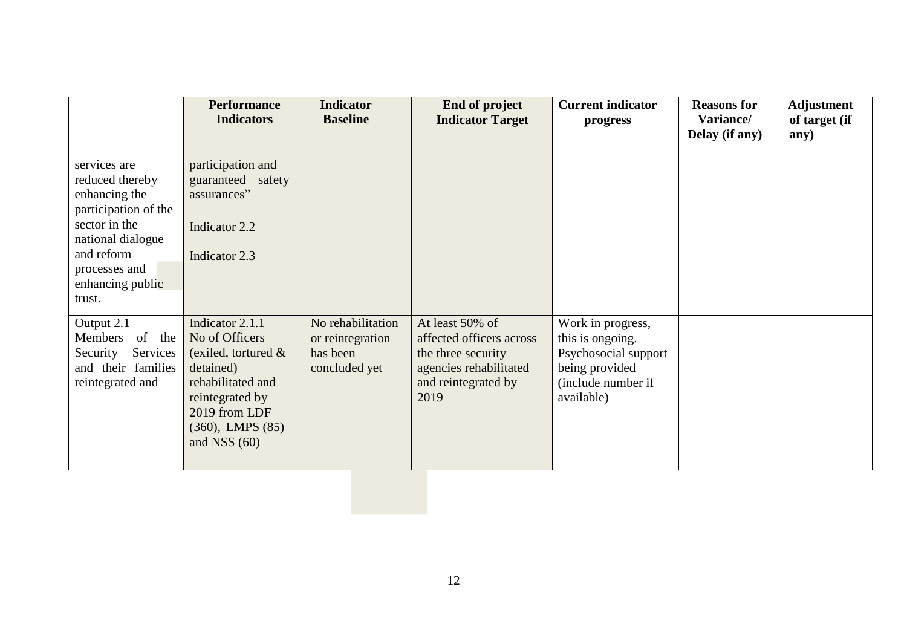|                                                                                                   | <b>Performance</b><br><b>Indicators</b>                                                                                                                                      | <b>Indicator</b><br><b>Baseline</b>                                | End of project<br><b>Indicator Target</b>                                                                                  | <b>Current indicator</b><br>progress                                                                                | <b>Reasons for</b><br>Variance/<br>Delay (if any) | <b>Adjustment</b><br>of target (if<br>any) |
|---------------------------------------------------------------------------------------------------|------------------------------------------------------------------------------------------------------------------------------------------------------------------------------|--------------------------------------------------------------------|----------------------------------------------------------------------------------------------------------------------------|---------------------------------------------------------------------------------------------------------------------|---------------------------------------------------|--------------------------------------------|
| services are<br>reduced thereby<br>enhancing the<br>participation of the                          | participation and<br>guaranteed safety<br>assurances"                                                                                                                        |                                                                    |                                                                                                                            |                                                                                                                     |                                                   |                                            |
| sector in the<br>national dialogue                                                                | Indicator 2.2                                                                                                                                                                |                                                                    |                                                                                                                            |                                                                                                                     |                                                   |                                            |
| and reform<br>processes and<br>enhancing public<br>trust.                                         | Indicator 2.3                                                                                                                                                                |                                                                    |                                                                                                                            |                                                                                                                     |                                                   |                                            |
| Output 2.1<br>Members<br>of the<br>Services<br>Security<br>and their families<br>reintegrated and | Indicator 2.1.1<br>No of Officers<br>(exiled, tortured $\&$<br>detained)<br>rehabilitated and<br>reintegrated by<br>2019 from LDF<br>$(360)$ , LMPS $(85)$<br>and NSS $(60)$ | No rehabilitation<br>or reintegration<br>has been<br>concluded yet | At least 50% of<br>affected officers across<br>the three security<br>agencies rehabilitated<br>and reintegrated by<br>2019 | Work in progress,<br>this is ongoing.<br>Psychosocial support<br>being provided<br>(include number if<br>available) |                                                   |                                            |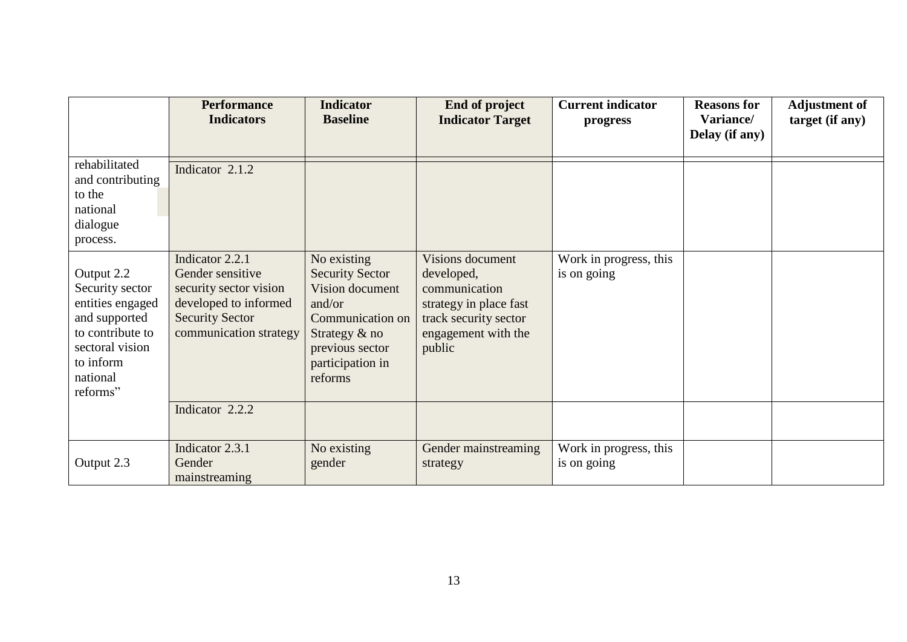|                                                                                                                                                | <b>Performance</b><br><b>Indicators</b>                                                                                                    | <b>Indicator</b><br><b>Baseline</b>                                                                                                                          | <b>End of project</b><br><b>Indicator Target</b>                                                                                    | <b>Current indicator</b><br>progress  | <b>Reasons for</b><br>Variance/<br>Delay (if any) | <b>Adjustment of</b><br>target (if any) |
|------------------------------------------------------------------------------------------------------------------------------------------------|--------------------------------------------------------------------------------------------------------------------------------------------|--------------------------------------------------------------------------------------------------------------------------------------------------------------|-------------------------------------------------------------------------------------------------------------------------------------|---------------------------------------|---------------------------------------------------|-----------------------------------------|
| rehabilitated<br>and contributing<br>to the<br>national<br>dialogue<br>process.                                                                | Indicator 2.1.2                                                                                                                            |                                                                                                                                                              |                                                                                                                                     |                                       |                                                   |                                         |
| Output 2.2<br>Security sector<br>entities engaged<br>and supported<br>to contribute to<br>sectoral vision<br>to inform<br>national<br>reforms" | Indicator 2.2.1<br>Gender sensitive<br>security sector vision<br>developed to informed<br><b>Security Sector</b><br>communication strategy | No existing<br><b>Security Sector</b><br>Vision document<br>and/or<br>Communication on<br>Strategy $\&$ no<br>previous sector<br>participation in<br>reforms | Visions document<br>developed,<br>communication<br>strategy in place fast<br>track security sector<br>engagement with the<br>public | Work in progress, this<br>is on going |                                                   |                                         |
|                                                                                                                                                | Indicator 2.2.2                                                                                                                            |                                                                                                                                                              |                                                                                                                                     |                                       |                                                   |                                         |
| Output 2.3                                                                                                                                     | Indicator 2.3.1<br>Gender<br>mainstreaming                                                                                                 | No existing<br>gender                                                                                                                                        | Gender mainstreaming<br>strategy                                                                                                    | Work in progress, this<br>is on going |                                                   |                                         |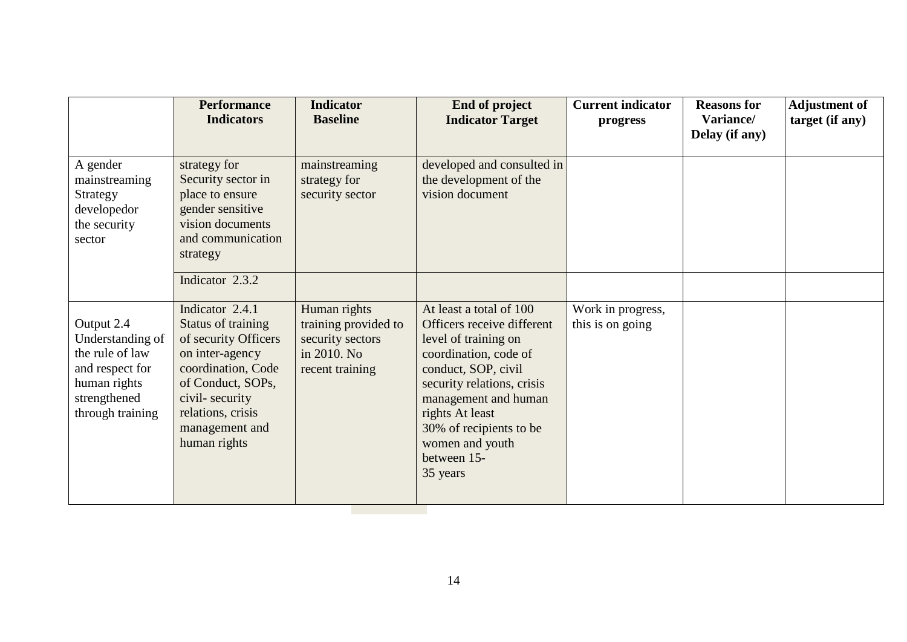|                                                                                                                          | <b>Performance</b><br><b>Indicators</b>                                                                                                                                                              | <b>Indicator</b><br><b>Baseline</b>                                                        | End of project<br><b>Indicator Target</b>                                                                                                                                                                                                                                       | <b>Current indicator</b><br>progress  | <b>Reasons for</b><br>Variance/<br>Delay (if any) | <b>Adjustment of</b><br>target (if any) |
|--------------------------------------------------------------------------------------------------------------------------|------------------------------------------------------------------------------------------------------------------------------------------------------------------------------------------------------|--------------------------------------------------------------------------------------------|---------------------------------------------------------------------------------------------------------------------------------------------------------------------------------------------------------------------------------------------------------------------------------|---------------------------------------|---------------------------------------------------|-----------------------------------------|
| A gender<br>mainstreaming<br>Strategy<br>developedor<br>the security<br>sector                                           | strategy for<br>Security sector in<br>place to ensure<br>gender sensitive<br>vision documents<br>and communication<br>strategy<br>Indicator 2.3.2                                                    | mainstreaming<br>strategy for<br>security sector                                           | developed and consulted in<br>the development of the<br>vision document                                                                                                                                                                                                         |                                       |                                                   |                                         |
| Output 2.4<br>Understanding of<br>the rule of law<br>and respect for<br>human rights<br>strengthened<br>through training | Indicator 2.4.1<br>Status of training<br>of security Officers<br>on inter-agency<br>coordination, Code<br>of Conduct, SOPs,<br>civil-security<br>relations, crisis<br>management and<br>human rights | Human rights<br>training provided to<br>security sectors<br>in 2010. No<br>recent training | At least a total of 100<br>Officers receive different<br>level of training on<br>coordination, code of<br>conduct, SOP, civil<br>security relations, crisis<br>management and human<br>rights At least<br>30% of recipients to be<br>women and youth<br>between 15-<br>35 years | Work in progress,<br>this is on going |                                                   |                                         |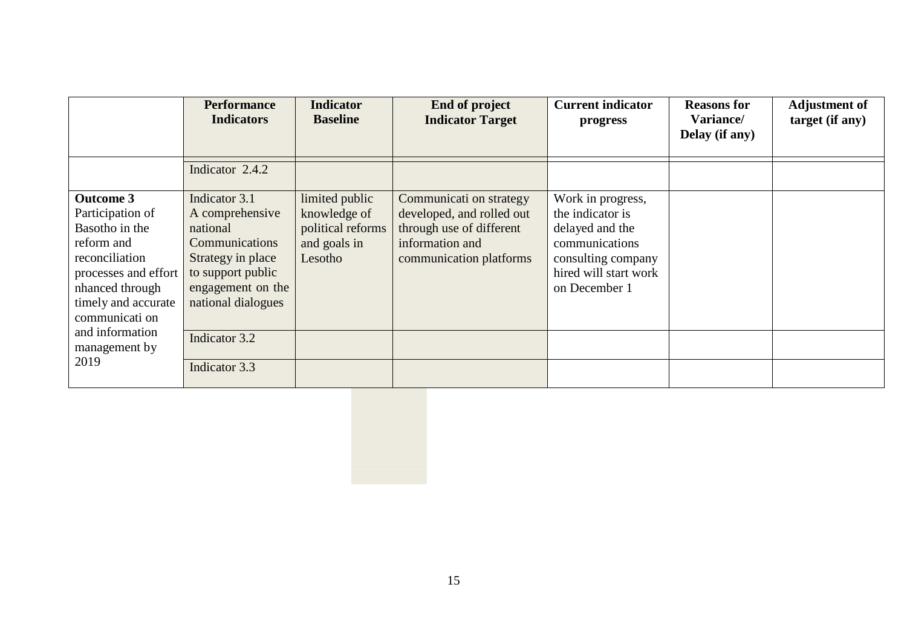|                                                                                                                                                                            | <b>Performance</b><br><b>Indicators</b>                                                                                                                    | <b>Indicator</b><br><b>Baseline</b>                                            | <b>End of project</b><br><b>Indicator Target</b>                                                                               | <b>Current indicator</b><br>progress                                                                                                       | <b>Reasons for</b><br>Variance/<br>Delay (if any) | <b>Adjustment of</b><br>target (if any) |
|----------------------------------------------------------------------------------------------------------------------------------------------------------------------------|------------------------------------------------------------------------------------------------------------------------------------------------------------|--------------------------------------------------------------------------------|--------------------------------------------------------------------------------------------------------------------------------|--------------------------------------------------------------------------------------------------------------------------------------------|---------------------------------------------------|-----------------------------------------|
|                                                                                                                                                                            | Indicator 2.4.2                                                                                                                                            |                                                                                |                                                                                                                                |                                                                                                                                            |                                                   |                                         |
| <b>Outcome 3</b><br>Participation of<br>Basotho in the<br>reform and<br>reconciliation<br>processes and effort<br>nhanced through<br>timely and accurate<br>communicati on | Indicator 3.1<br>A comprehensive<br>national<br><b>Communications</b><br>Strategy in place<br>to support public<br>engagement on the<br>national dialogues | limited public<br>knowledge of<br>political reforms<br>and goals in<br>Lesotho | Communicati on strategy<br>developed, and rolled out<br>through use of different<br>information and<br>communication platforms | Work in progress,<br>the indicator is<br>delayed and the<br>communications<br>consulting company<br>hired will start work<br>on December 1 |                                                   |                                         |
| and information<br>management by<br>2019                                                                                                                                   | Indicator 3.2<br>Indicator 3.3                                                                                                                             |                                                                                |                                                                                                                                |                                                                                                                                            |                                                   |                                         |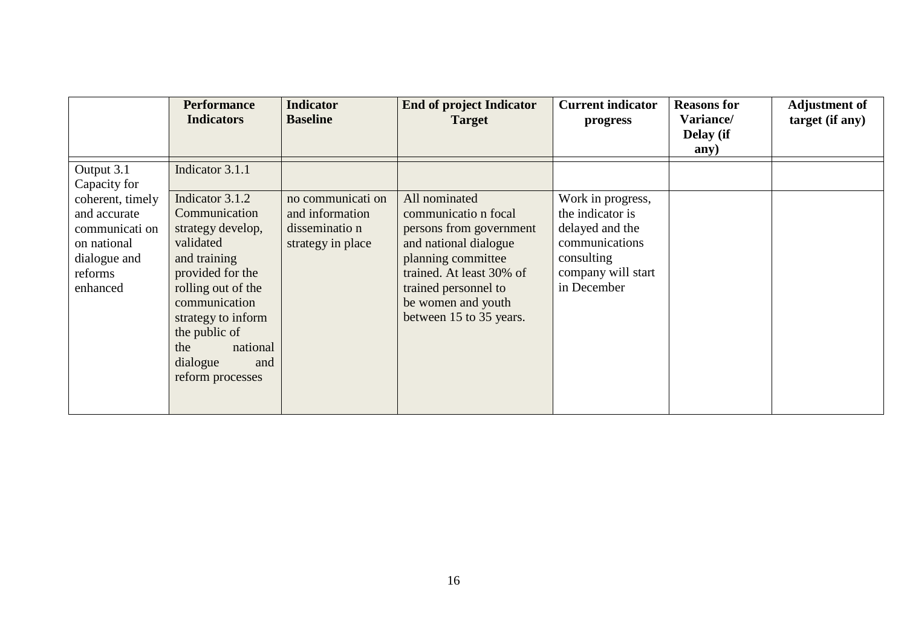|                                                                                                          | <b>Performance</b><br><b>Indicators</b>                                                                                                                                                                                                        | <b>Indicator</b><br><b>Baseline</b>                                         | <b>End of project Indicator</b><br><b>Target</b>                                                                                                                                                                     | <b>Current indicator</b><br>progress                                                                                          | <b>Reasons for</b><br>Variance/<br>Delay (if<br>any) | <b>Adjustment of</b><br>target (if any) |
|----------------------------------------------------------------------------------------------------------|------------------------------------------------------------------------------------------------------------------------------------------------------------------------------------------------------------------------------------------------|-----------------------------------------------------------------------------|----------------------------------------------------------------------------------------------------------------------------------------------------------------------------------------------------------------------|-------------------------------------------------------------------------------------------------------------------------------|------------------------------------------------------|-----------------------------------------|
| Output 3.1<br>Capacity for                                                                               | Indicator 3.1.1                                                                                                                                                                                                                                |                                                                             |                                                                                                                                                                                                                      |                                                                                                                               |                                                      |                                         |
| coherent, timely<br>and accurate<br>communicati on<br>on national<br>dialogue and<br>reforms<br>enhanced | Indicator 3.1.2<br>Communication<br>strategy develop,<br>validated<br>and training<br>provided for the<br>rolling out of the<br>communication<br>strategy to inform<br>the public of<br>national<br>the<br>dialogue<br>and<br>reform processes | no communicati on<br>and information<br>disseminatio n<br>strategy in place | All nominated<br>communicatio n focal<br>persons from government<br>and national dialogue<br>planning committee<br>trained. At least 30% of<br>trained personnel to<br>be women and youth<br>between 15 to 35 years. | Work in progress,<br>the indicator is<br>delayed and the<br>communications<br>consulting<br>company will start<br>in December |                                                      |                                         |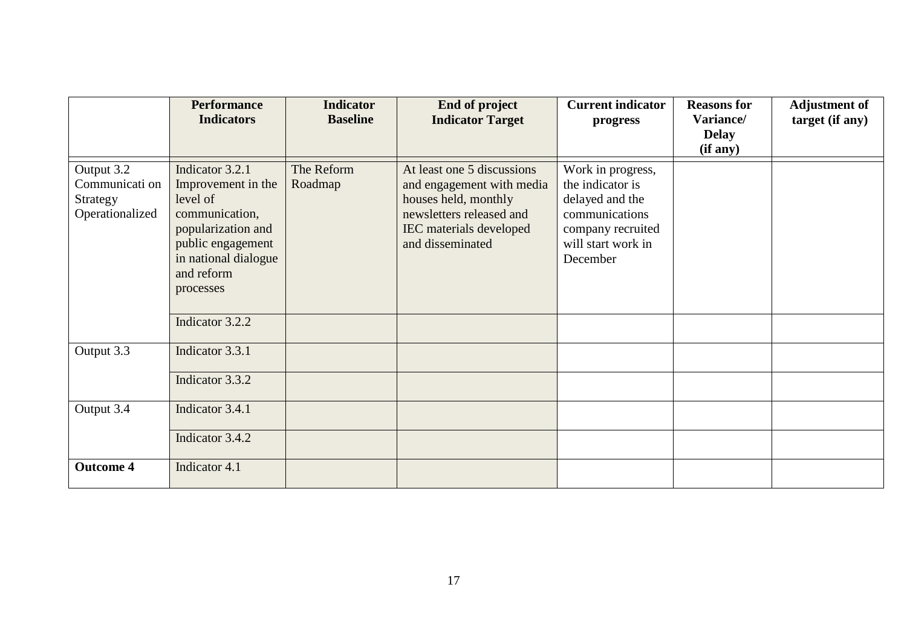|                                                             | <b>Performance</b><br><b>Indicators</b>                                                                                                                           | <b>Indicator</b><br><b>Baseline</b> | End of project<br><b>Indicator Target</b>                                                                                                                         | <b>Current indicator</b><br>progress                                                                                              | <b>Reasons for</b><br>Variance/<br><b>Delay</b><br>(if any) | <b>Adjustment of</b><br>target (if any) |
|-------------------------------------------------------------|-------------------------------------------------------------------------------------------------------------------------------------------------------------------|-------------------------------------|-------------------------------------------------------------------------------------------------------------------------------------------------------------------|-----------------------------------------------------------------------------------------------------------------------------------|-------------------------------------------------------------|-----------------------------------------|
| Output 3.2<br>Communicati on<br>Strategy<br>Operationalized | Indicator 3.2.1<br>Improvement in the<br>level of<br>communication,<br>popularization and<br>public engagement<br>in national dialogue<br>and reform<br>processes | The Reform<br>Roadmap               | At least one 5 discussions<br>and engagement with media<br>houses held, monthly<br>newsletters released and<br><b>IEC</b> materials developed<br>and disseminated | Work in progress,<br>the indicator is<br>delayed and the<br>communications<br>company recruited<br>will start work in<br>December |                                                             |                                         |
|                                                             | Indicator 3.2.2                                                                                                                                                   |                                     |                                                                                                                                                                   |                                                                                                                                   |                                                             |                                         |
| Output 3.3                                                  | Indicator 3.3.1                                                                                                                                                   |                                     |                                                                                                                                                                   |                                                                                                                                   |                                                             |                                         |
|                                                             | Indicator 3.3.2                                                                                                                                                   |                                     |                                                                                                                                                                   |                                                                                                                                   |                                                             |                                         |
| Output 3.4                                                  | Indicator 3.4.1                                                                                                                                                   |                                     |                                                                                                                                                                   |                                                                                                                                   |                                                             |                                         |
|                                                             | Indicator 3.4.2                                                                                                                                                   |                                     |                                                                                                                                                                   |                                                                                                                                   |                                                             |                                         |
| <b>Outcome 4</b>                                            | Indicator 4.1                                                                                                                                                     |                                     |                                                                                                                                                                   |                                                                                                                                   |                                                             |                                         |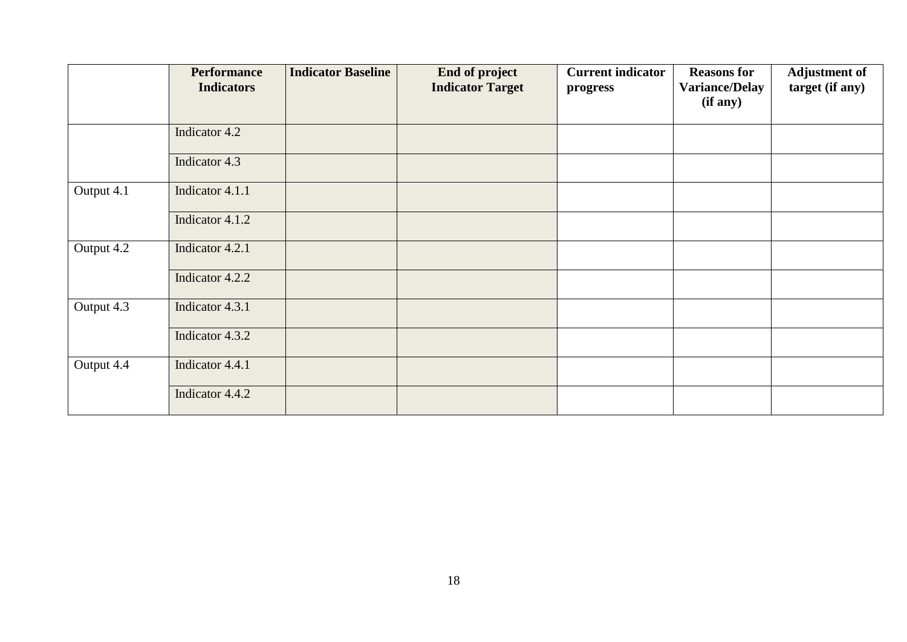|            | <b>Performance</b><br><b>Indicators</b> | <b>Indicator Baseline</b> | End of project<br><b>Indicator Target</b> | <b>Current indicator</b><br>progress | <b>Reasons for</b><br><b>Variance/Delay</b><br>(if any) | <b>Adjustment of</b><br>target (if any) |
|------------|-----------------------------------------|---------------------------|-------------------------------------------|--------------------------------------|---------------------------------------------------------|-----------------------------------------|
|            |                                         |                           |                                           |                                      |                                                         |                                         |
|            | Indicator 4.2                           |                           |                                           |                                      |                                                         |                                         |
|            | Indicator 4.3                           |                           |                                           |                                      |                                                         |                                         |
| Output 4.1 | Indicator 4.1.1                         |                           |                                           |                                      |                                                         |                                         |
|            | Indicator 4.1.2                         |                           |                                           |                                      |                                                         |                                         |
| Output 4.2 | Indicator 4.2.1                         |                           |                                           |                                      |                                                         |                                         |
|            | Indicator 4.2.2                         |                           |                                           |                                      |                                                         |                                         |
| Output 4.3 | Indicator 4.3.1                         |                           |                                           |                                      |                                                         |                                         |
|            | Indicator 4.3.2                         |                           |                                           |                                      |                                                         |                                         |
| Output 4.4 | Indicator 4.4.1                         |                           |                                           |                                      |                                                         |                                         |
|            | Indicator 4.4.2                         |                           |                                           |                                      |                                                         |                                         |